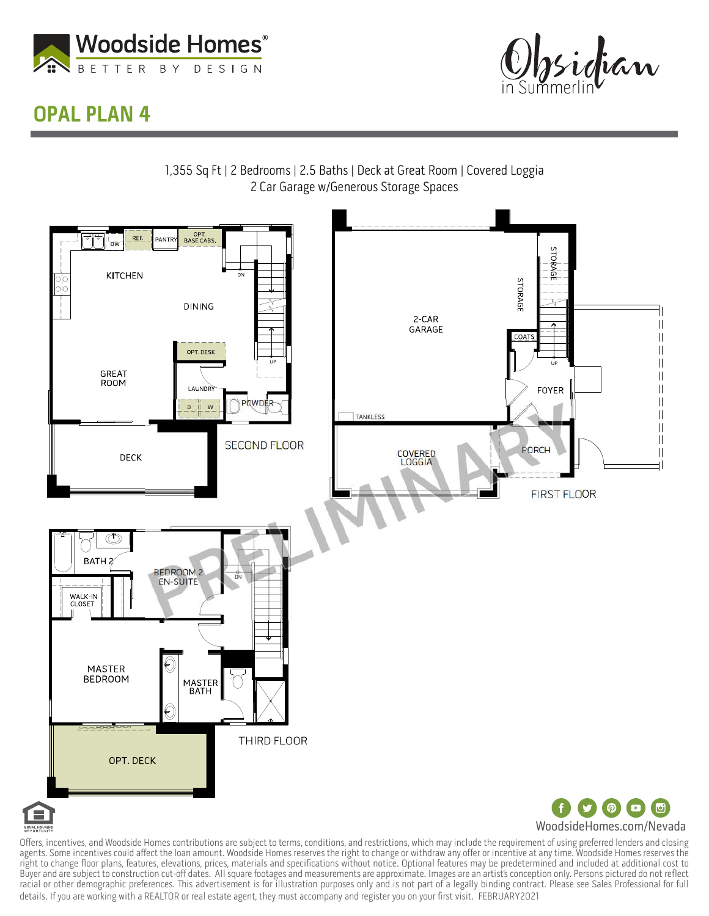



## OPAL PLAN 4



Offers, incentives, and Woodside Homes contributions are subject to terms, conditions, and restrictions, which may include the requirement of using preferred lenders and closing agents. Some incentives could affect the loan amount. Woodside Homes reserves the right to change or withdraw any offer or incentive at any time. Woodside Homes reserves the right to change floor plans, features, elevations, prices, materials and specifications without notice. Optional features may be predetermined and included at additional cost to Buyer and are subject to construction cut-off dates. All square footages and measurements are approximate. Images are an artist's conception only. Persons pictured do not reflect racial or other demographic preferences. This advertisement is for illustration purposes only and is not part of a legally binding contract. Please see Sales Professional for full details. If you are working with a REALTOR or real estate agent, they must accompany and register you on your first visit. FEBRUARY2021